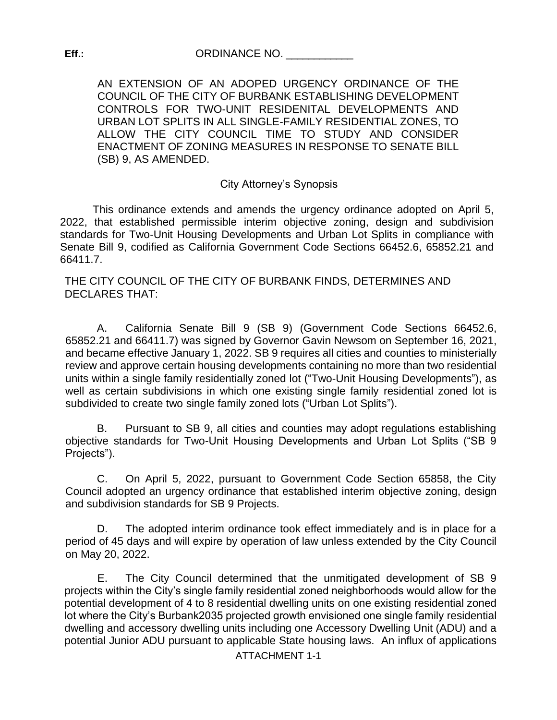AN EXTENSION OF AN ADOPED URGENCY ORDINANCE OF THE COUNCIL OF THE CITY OF BURBANK ESTABLISHING DEVELOPMENT CONTROLS FOR TWO-UNIT RESIDENITAL DEVELOPMENTS AND URBAN LOT SPLITS IN ALL SINGLE-FAMILY RESIDENTIAL ZONES, TO ALLOW THE CITY COUNCIL TIME TO STUDY AND CONSIDER ENACTMENT OF ZONING MEASURES IN RESPONSE TO SENATE BILL (SB) 9, AS AMENDED.

#### City Attorney's Synopsis

This ordinance extends and amends the urgency ordinance adopted on April 5, 2022, that established permissible interim objective zoning, design and subdivision standards for Two-Unit Housing Developments and Urban Lot Splits in compliance with Senate Bill 9, codified as California Government Code Sections 66452.6, 65852.21 and 66411.7.

THE CITY COUNCIL OF THE CITY OF BURBANK FINDS, DETERMINES AND DECLARES THAT:

A. California Senate Bill 9 (SB 9) (Government Code Sections 66452.6, 65852.21 and 66411.7) was signed by Governor Gavin Newsom on September 16, 2021, and became effective January 1, 2022. SB 9 requires all cities and counties to ministerially review and approve certain housing developments containing no more than two residential units within a single family residentially zoned lot ("Two-Unit Housing Developments"), as well as certain subdivisions in which one existing single family residential zoned lot is subdivided to create two single family zoned lots ("Urban Lot Splits").

B. Pursuant to SB 9, all cities and counties may adopt regulations establishing objective standards for Two-Unit Housing Developments and Urban Lot Splits ("SB 9 Projects").

C. On April 5, 2022, pursuant to Government Code Section 65858, the City Council adopted an urgency ordinance that established interim objective zoning, design and subdivision standards for SB 9 Projects.

D. The adopted interim ordinance took effect immediately and is in place for a period of 45 days and will expire by operation of law unless extended by the City Council on May 20, 2022.

E. The City Council determined that the unmitigated development of SB 9 projects within the City's single family residential zoned neighborhoods would allow for the potential development of 4 to 8 residential dwelling units on one existing residential zoned lot where the City's Burbank2035 projected growth envisioned one single family residential dwelling and accessory dwelling units including one Accessory Dwelling Unit (ADU) and a potential Junior ADU pursuant to applicable State housing laws. An influx of applications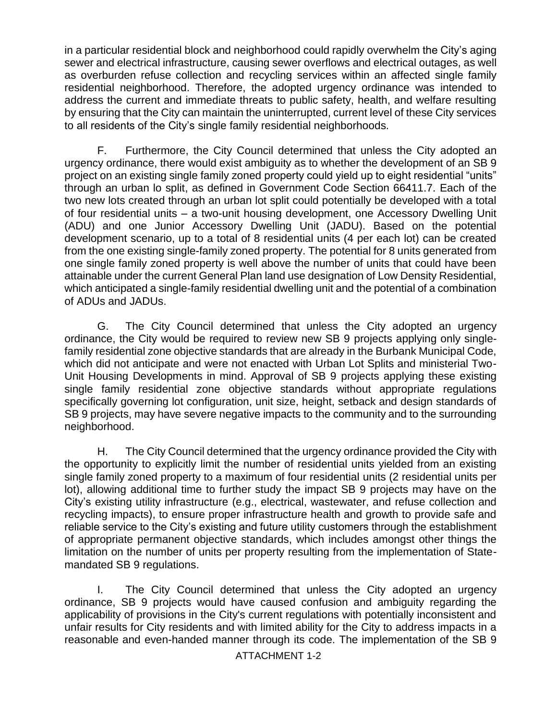in a particular residential block and neighborhood could rapidly overwhelm the City's aging sewer and electrical infrastructure, causing sewer overflows and electrical outages, as well as overburden refuse collection and recycling services within an affected single family residential neighborhood. Therefore, the adopted urgency ordinance was intended to address the current and immediate threats to public safety, health, and welfare resulting by ensuring that the City can maintain the uninterrupted, current level of these City services to all residents of the City's single family residential neighborhoods.

F. Furthermore, the City Council determined that unless the City adopted an urgency ordinance, there would exist ambiguity as to whether the development of an SB 9 project on an existing single family zoned property could yield up to eight residential "units" through an urban lo split, as defined in Government Code Section 66411.7. Each of the two new lots created through an urban lot split could potentially be developed with a total of four residential units – a two-unit housing development, one Accessory Dwelling Unit (ADU) and one Junior Accessory Dwelling Unit (JADU). Based on the potential development scenario, up to a total of 8 residential units (4 per each lot) can be created from the one existing single-family zoned property. The potential for 8 units generated from one single family zoned property is well above the number of units that could have been attainable under the current General Plan land use designation of Low Density Residential, which anticipated a single-family residential dwelling unit and the potential of a combination of ADUs and JADUs.

G. The City Council determined that unless the City adopted an urgency ordinance, the City would be required to review new SB 9 projects applying only singlefamily residential zone objective standards that are already in the Burbank Municipal Code, which did not anticipate and were not enacted with Urban Lot Splits and ministerial Two-Unit Housing Developments in mind. Approval of SB 9 projects applying these existing single family residential zone objective standards without appropriate regulations specifically governing lot configuration, unit size, height, setback and design standards of SB 9 projects, may have severe negative impacts to the community and to the surrounding neighborhood.

H. The City Council determined that the urgency ordinance provided the City with the opportunity to explicitly limit the number of residential units yielded from an existing single family zoned property to a maximum of four residential units (2 residential units per lot), allowing additional time to further study the impact SB 9 projects may have on the City's existing utility infrastructure (e.g., electrical, wastewater, and refuse collection and recycling impacts), to ensure proper infrastructure health and growth to provide safe and reliable service to the City's existing and future utility customers through the establishment of appropriate permanent objective standards, which includes amongst other things the limitation on the number of units per property resulting from the implementation of Statemandated SB 9 regulations.

I. The City Council determined that unless the City adopted an urgency ordinance, SB 9 projects would have caused confusion and ambiguity regarding the applicability of provisions in the City's current regulations with potentially inconsistent and unfair results for City residents and with limited ability for the City to address impacts in a reasonable and even-handed manner through its code. The implementation of the SB 9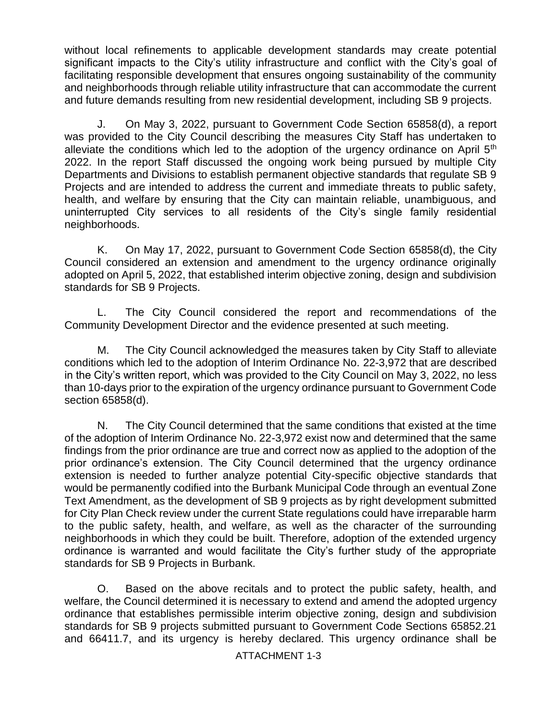without local refinements to applicable development standards may create potential significant impacts to the City's utility infrastructure and conflict with the City's goal of facilitating responsible development that ensures ongoing sustainability of the community and neighborhoods through reliable utility infrastructure that can accommodate the current and future demands resulting from new residential development, including SB 9 projects.

J. On May 3, 2022, pursuant to Government Code Section 65858(d), a report was provided to the City Council describing the measures City Staff has undertaken to alleviate the conditions which led to the adoption of the urgency ordinance on April  $5<sup>th</sup>$ 2022. In the report Staff discussed the ongoing work being pursued by multiple City Departments and Divisions to establish permanent objective standards that regulate SB 9 Projects and are intended to address the current and immediate threats to public safety, health, and welfare by ensuring that the City can maintain reliable, unambiguous, and uninterrupted City services to all residents of the City's single family residential neighborhoods.

K. On May 17, 2022, pursuant to Government Code Section 65858(d), the City Council considered an extension and amendment to the urgency ordinance originally adopted on April 5, 2022, that established interim objective zoning, design and subdivision standards for SB 9 Projects.

L. The City Council considered the report and recommendations of the Community Development Director and the evidence presented at such meeting.

M. The City Council acknowledged the measures taken by City Staff to alleviate conditions which led to the adoption of Interim Ordinance No. 22-3,972 that are described in the City's written report, which was provided to the City Council on May 3, 2022, no less than 10-days prior to the expiration of the urgency ordinance pursuant to Government Code section 65858(d).

N. The City Council determined that the same conditions that existed at the time of the adoption of Interim Ordinance No. 22-3,972 exist now and determined that the same findings from the prior ordinance are true and correct now as applied to the adoption of the prior ordinance's extension. The City Council determined that the urgency ordinance extension is needed to further analyze potential City-specific objective standards that would be permanently codified into the Burbank Municipal Code through an eventual Zone Text Amendment, as the development of SB 9 projects as by right development submitted for City Plan Check review under the current State regulations could have irreparable harm to the public safety, health, and welfare, as well as the character of the surrounding neighborhoods in which they could be built. Therefore, adoption of the extended urgency ordinance is warranted and would facilitate the City's further study of the appropriate standards for SB 9 Projects in Burbank.

O. Based on the above recitals and to protect the public safety, health, and welfare, the Council determined it is necessary to extend and amend the adopted urgency ordinance that establishes permissible interim objective zoning, design and subdivision standards for SB 9 projects submitted pursuant to Government Code Sections 65852.21 and 66411.7, and its urgency is hereby declared. This urgency ordinance shall be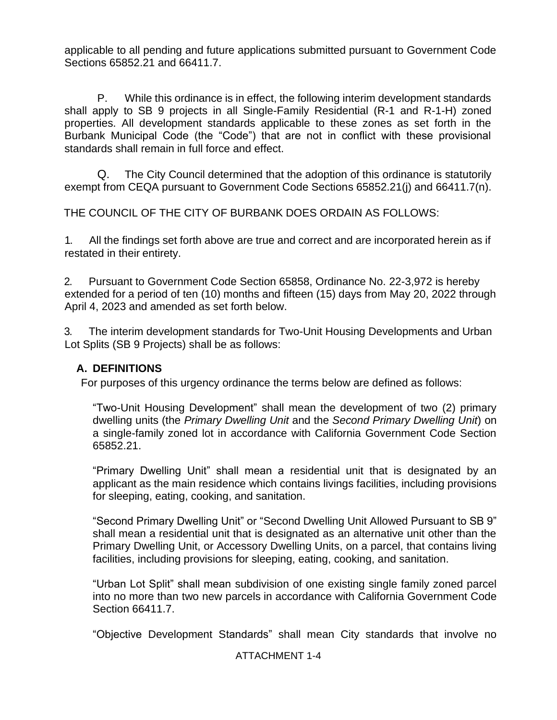applicable to all pending and future applications submitted pursuant to Government Code Sections 65852.21 and 66411.7.

P. While this ordinance is in effect, the following interim development standards shall apply to SB 9 projects in all Single-Family Residential (R-1 and R-1-H) zoned properties. All development standards applicable to these zones as set forth in the Burbank Municipal Code (the "Code") that are not in conflict with these provisional standards shall remain in full force and effect.

Q. The City Council determined that the adoption of this ordinance is statutorily exempt from CEQA pursuant to Government Code Sections 65852.21(j) and 66411.7(n).

THE COUNCIL OF THE CITY OF BURBANK DOES ORDAIN AS FOLLOWS:

1. All the findings set forth above are true and correct and are incorporated herein as if restated in their entirety.

2. Pursuant to Government Code Section 65858, Ordinance No. 22-3,972 is hereby extended for a period of ten (10) months and fifteen (15) days from May 20, 2022 through April 4, 2023 and amended as set forth below.

3. The interim development standards for Two-Unit Housing Developments and Urban Lot Splits (SB 9 Projects) shall be as follows:

#### **A. DEFINITIONS**

For purposes of this urgency ordinance the terms below are defined as follows:

"Two-Unit Housing Development" shall mean the development of two (2) primary dwelling units (the *Primary Dwelling Unit* and the *Second Primary Dwelling Unit*) on a single-family zoned lot in accordance with California Government Code Section 65852.21.

"Primary Dwelling Unit" shall mean a residential unit that is designated by an applicant as the main residence which contains livings facilities, including provisions for sleeping, eating, cooking, and sanitation.

"Second Primary Dwelling Unit" or "Second Dwelling Unit Allowed Pursuant to SB 9" shall mean a residential unit that is designated as an alternative unit other than the Primary Dwelling Unit, or Accessory Dwelling Units, on a parcel, that contains living facilities, including provisions for sleeping, eating, cooking, and sanitation.

"Urban Lot Split" shall mean subdivision of one existing single family zoned parcel into no more than two new parcels in accordance with California Government Code Section 66411.7.

"Objective Development Standards" shall mean City standards that involve no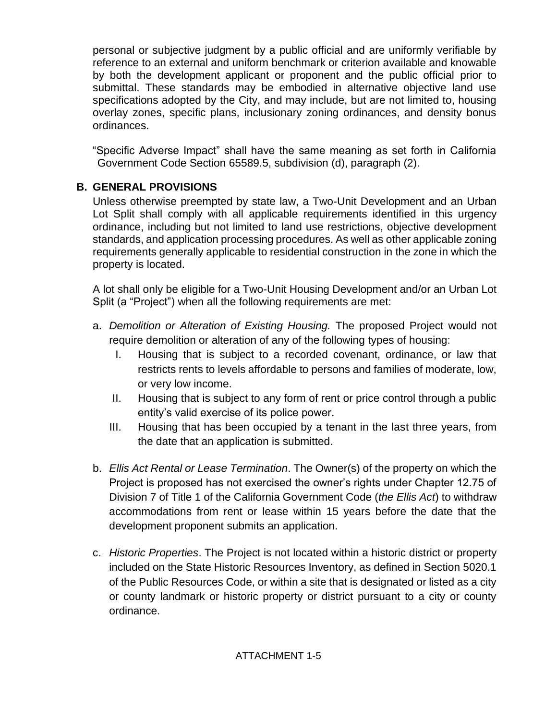personal or subjective judgment by a public official and are uniformly verifiable by reference to an external and uniform benchmark or criterion available and knowable by both the development applicant or proponent and the public official prior to submittal. These standards may be embodied in alternative objective land use specifications adopted by the City, and may include, but are not limited to, housing overlay zones, specific plans, inclusionary zoning ordinances, and density bonus ordinances.

"Specific Adverse Impact" shall have the same meaning as set forth in California Government Code Section 65589.5, subdivision (d), paragraph (2).

## **B. GENERAL PROVISIONS**

Unless otherwise preempted by state law, a Two-Unit Development and an Urban Lot Split shall comply with all applicable requirements identified in this urgency ordinance, including but not limited to land use restrictions, objective development standards, and application processing procedures. As well as other applicable zoning requirements generally applicable to residential construction in the zone in which the property is located.

A lot shall only be eligible for a Two-Unit Housing Development and/or an Urban Lot Split (a "Project") when all the following requirements are met:

- a. *Demolition or Alteration of Existing Housing.* The proposed Project would not require demolition or alteration of any of the following types of housing:
	- I. Housing that is subject to a recorded covenant, ordinance, or law that restricts rents to levels affordable to persons and families of moderate, low, or very low income.
	- II. Housing that is subject to any form of rent or price control through a public entity's valid exercise of its police power.
	- III. Housing that has been occupied by a tenant in the last three years, from the date that an application is submitted.
- b. *Ellis Act Rental or Lease Termination*. The Owner(s) of the property on which the Project is proposed has not exercised the owner's rights under Chapter 12.75 of Division 7 of Title 1 of the California Government Code (*the Ellis Act*) to withdraw accommodations from rent or lease within 15 years before the date that the development proponent submits an application.
- c. *Historic Properties*. The Project is not located within a historic district or property included on the State Historic Resources Inventory, as defined in Section 5020.1 of the Public Resources Code, or within a site that is designated or listed as a city or county landmark or historic property or district pursuant to a city or county ordinance.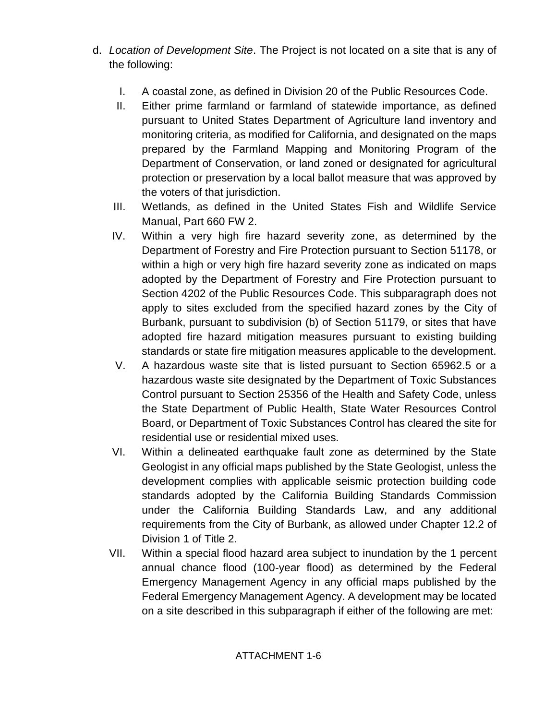- d. *Location of Development Site*. The Project is not located on a site that is any of the following:
	- I. A coastal zone, as defined in Division 20 of the Public Resources Code.
	- II. Either prime farmland or farmland of statewide importance, as defined pursuant to United States Department of Agriculture land inventory and monitoring criteria, as modified for California, and designated on the maps prepared by the Farmland Mapping and Monitoring Program of the Department of Conservation, or land zoned or designated for agricultural protection or preservation by a local ballot measure that was approved by the voters of that jurisdiction.
	- III. Wetlands, as defined in the United States Fish and Wildlife Service Manual, Part 660 FW 2.
	- IV. Within a very high fire hazard severity zone, as determined by the Department of Forestry and Fire Protection pursuant to Section 51178, or within a high or very high fire hazard severity zone as indicated on maps adopted by the Department of Forestry and Fire Protection pursuant to Section 4202 of the Public Resources Code. This subparagraph does not apply to sites excluded from the specified hazard zones by the City of Burbank, pursuant to subdivision (b) of Section 51179, or sites that have adopted fire hazard mitigation measures pursuant to existing building standards or state fire mitigation measures applicable to the development.
	- V. A hazardous waste site that is listed pursuant to Section 65962.5 or a hazardous waste site designated by the Department of Toxic Substances Control pursuant to Section 25356 of the Health and Safety Code, unless the State Department of Public Health, State Water Resources Control Board, or Department of Toxic Substances Control has cleared the site for residential use or residential mixed uses.
	- VI. Within a delineated earthquake fault zone as determined by the State Geologist in any official maps published by the State Geologist, unless the development complies with applicable seismic protection building code standards adopted by the California Building Standards Commission under the California Building Standards Law, and any additional requirements from the City of Burbank, as allowed under Chapter 12.2 of Division 1 of Title 2.
	- VII. Within a special flood hazard area subject to inundation by the 1 percent annual chance flood (100-year flood) as determined by the Federal Emergency Management Agency in any official maps published by the Federal Emergency Management Agency. A development may be located on a site described in this subparagraph if either of the following are met: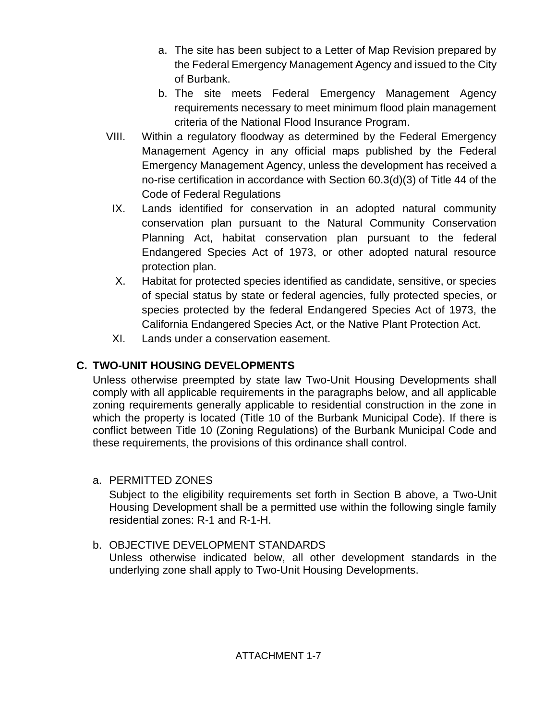- a. The site has been subject to a Letter of Map Revision prepared by the Federal Emergency Management Agency and issued to the City of Burbank.
- b. The site meets Federal Emergency Management Agency requirements necessary to meet minimum flood plain management criteria of the National Flood Insurance Program.
- VIII. Within a regulatory floodway as determined by the Federal Emergency Management Agency in any official maps published by the Federal Emergency Management Agency, unless the development has received a no-rise certification in accordance with Section 60.3(d)(3) of Title 44 of the Code of Federal Regulations
- IX. Lands identified for conservation in an adopted natural community conservation plan pursuant to the Natural Community Conservation Planning Act, habitat conservation plan pursuant to the federal Endangered Species Act of 1973, or other adopted natural resource protection plan.
- X. Habitat for protected species identified as candidate, sensitive, or species of special status by state or federal agencies, fully protected species, or species protected by the federal Endangered Species Act of 1973, the California Endangered Species Act, or the Native Plant Protection Act.
- XI. Lands under a conservation easement.

# **C. TWO-UNIT HOUSING DEVELOPMENTS**

Unless otherwise preempted by state law Two-Unit Housing Developments shall comply with all applicable requirements in the paragraphs below, and all applicable zoning requirements generally applicable to residential construction in the zone in which the property is located (Title 10 of the Burbank Municipal Code). If there is conflict between Title 10 (Zoning Regulations) of the Burbank Municipal Code and these requirements, the provisions of this ordinance shall control.

a. PERMITTED ZONES

Subject to the eligibility requirements set forth in Section B above, a Two-Unit Housing Development shall be a permitted use within the following single family residential zones: R-1 and R-1-H.

b. OBJECTIVE DEVELOPMENT STANDARDS

Unless otherwise indicated below, all other development standards in the underlying zone shall apply to Two-Unit Housing Developments.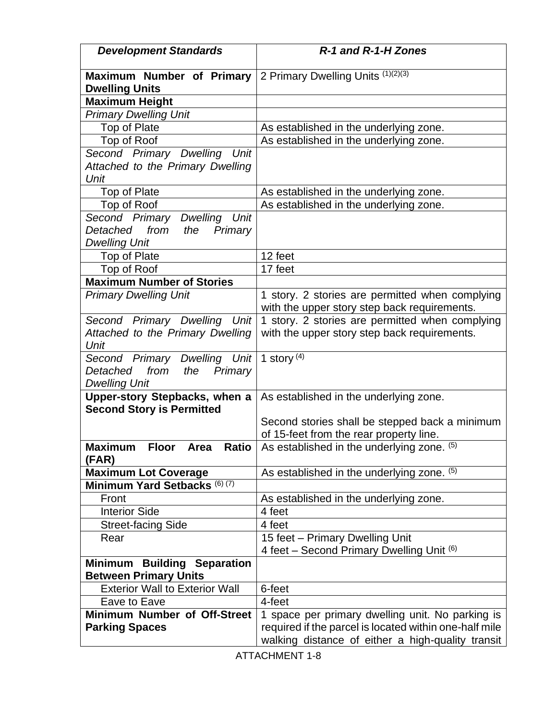| <b>Development Standards</b>                                                          | R-1 and R-1-H Zones                                                                                                                                             |
|---------------------------------------------------------------------------------------|-----------------------------------------------------------------------------------------------------------------------------------------------------------------|
| Maximum Number of Primary 2 Primary Dwelling Units (1)(2)(3)<br><b>Dwelling Units</b> |                                                                                                                                                                 |
| <b>Maximum Height</b>                                                                 |                                                                                                                                                                 |
| <b>Primary Dwelling Unit</b>                                                          |                                                                                                                                                                 |
| Top of Plate                                                                          | As established in the underlying zone.                                                                                                                          |
| Top of Roof                                                                           | As established in the underlying zone.                                                                                                                          |
| Second Primary Dwelling<br>Unit                                                       |                                                                                                                                                                 |
| Attached to the Primary Dwelling                                                      |                                                                                                                                                                 |
| Unit                                                                                  |                                                                                                                                                                 |
| Top of Plate                                                                          | As established in the underlying zone.                                                                                                                          |
| Top of Roof                                                                           | As established in the underlying zone.                                                                                                                          |
| Second Primary<br>Dwelling Unit                                                       |                                                                                                                                                                 |
| Detached<br>from<br>Primary<br>the                                                    |                                                                                                                                                                 |
| <b>Dwelling Unit</b>                                                                  |                                                                                                                                                                 |
| Top of Plate                                                                          | 12 feet                                                                                                                                                         |
| Top of Roof                                                                           | 17 feet                                                                                                                                                         |
| <b>Maximum Number of Stories</b>                                                      |                                                                                                                                                                 |
| <b>Primary Dwelling Unit</b>                                                          | 1 story. 2 stories are permitted when complying                                                                                                                 |
|                                                                                       | with the upper story step back requirements.                                                                                                                    |
| Second Primary Dwelling Unit                                                          | 1 story. 2 stories are permitted when complying                                                                                                                 |
| Attached to the Primary Dwelling<br>Unit                                              | with the upper story step back requirements.                                                                                                                    |
| Second Primary Dwelling Unit                                                          | 1 story $(4)$                                                                                                                                                   |
| from<br>Detached<br>the<br>Primary                                                    |                                                                                                                                                                 |
| <b>Dwelling Unit</b>                                                                  |                                                                                                                                                                 |
| Upper-story Stepbacks, when a<br><b>Second Story is Permitted</b>                     | As established in the underlying zone.                                                                                                                          |
|                                                                                       | Second stories shall be stepped back a minimum                                                                                                                  |
|                                                                                       | of 15-feet from the rear property line.                                                                                                                         |
| <b>Maximum</b><br><b>Floor</b><br>Area<br><b>Ratio</b><br>(FAR)                       | As established in the underlying zone. (5)                                                                                                                      |
| <b>Maximum Lot Coverage</b>                                                           | As established in the underlying zone. (5)                                                                                                                      |
| Minimum Yard Setbacks (6) (7)                                                         |                                                                                                                                                                 |
| Front                                                                                 | As established in the underlying zone.                                                                                                                          |
| <b>Interior Side</b>                                                                  | 4 feet                                                                                                                                                          |
| <b>Street-facing Side</b>                                                             | 4 feet                                                                                                                                                          |
| Rear                                                                                  | 15 feet - Primary Dwelling Unit                                                                                                                                 |
|                                                                                       | 4 feet – Second Primary Dwelling Unit $(6)$                                                                                                                     |
| <b>Minimum Building Separation</b><br><b>Between Primary Units</b>                    |                                                                                                                                                                 |
| <b>Exterior Wall to Exterior Wall</b>                                                 | 6-feet                                                                                                                                                          |
| Eave to Eave                                                                          | 4-feet                                                                                                                                                          |
| Minimum Number of Off-Street<br><b>Parking Spaces</b>                                 | 1 space per primary dwelling unit. No parking is<br>required if the parcel is located within one-half mile<br>walking distance of either a high-quality transit |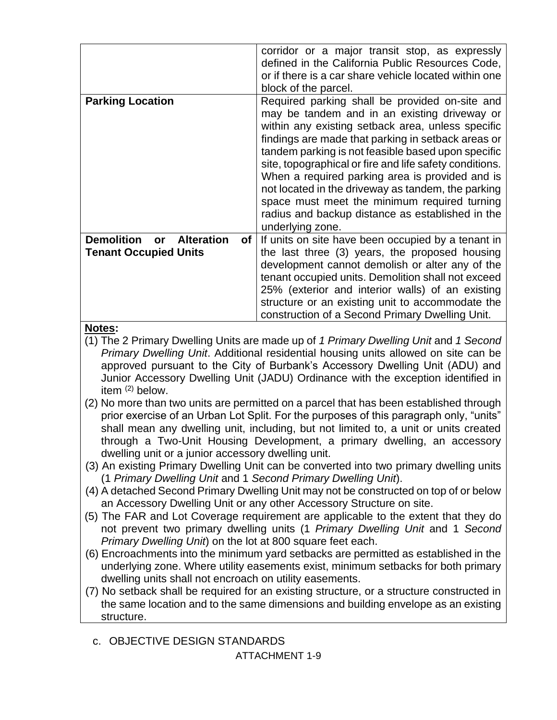|                                                                                                        | corridor or a major transit stop, as expressly<br>defined in the California Public Resources Code,<br>or if there is a car share vehicle located within one<br>block of the parcel.                                                                                                                                                                                                                                                                                                                                                                         |
|--------------------------------------------------------------------------------------------------------|-------------------------------------------------------------------------------------------------------------------------------------------------------------------------------------------------------------------------------------------------------------------------------------------------------------------------------------------------------------------------------------------------------------------------------------------------------------------------------------------------------------------------------------------------------------|
| <b>Parking Location</b>                                                                                | Required parking shall be provided on-site and<br>may be tandem and in an existing driveway or<br>within any existing setback area, unless specific<br>findings are made that parking in setback areas or<br>tandem parking is not feasible based upon specific<br>site, topographical or fire and life safety conditions.<br>When a required parking area is provided and is<br>not located in the driveway as tandem, the parking<br>space must meet the minimum required turning<br>radius and backup distance as established in the<br>underlying zone. |
| <b>Demolition</b><br><b>Alteration</b><br>of <sub>l</sub><br><b>or</b><br><b>Tenant Occupied Units</b> | If units on site have been occupied by a tenant in<br>the last three (3) years, the proposed housing<br>development cannot demolish or alter any of the<br>tenant occupied units. Demolition shall not exceed<br>25% (exterior and interior walls) of an existing<br>structure or an existing unit to accommodate the<br>construction of a Second Primary Dwelling Unit.                                                                                                                                                                                    |

### **Notes:**

- (1) The 2 Primary Dwelling Units are made up of *1 Primary Dwelling Unit* and *1 Second Primary Dwelling Unit*. Additional residential housing units allowed on site can be approved pursuant to the City of Burbank's Accessory Dwelling Unit (ADU) and Junior Accessory Dwelling Unit (JADU) Ordinance with the exception identified in item  $(2)$  below.
- (2) No more than two units are permitted on a parcel that has been established through prior exercise of an Urban Lot Split. For the purposes of this paragraph only, "units" shall mean any dwelling unit, including, but not limited to, a unit or units created through a Two-Unit Housing Development, a primary dwelling, an accessory dwelling unit or a junior accessory dwelling unit.
- (3) An existing Primary Dwelling Unit can be converted into two primary dwelling units (1 *Primary Dwelling Unit* and 1 *Second Primary Dwelling Unit*).
- (4) A detached Second Primary Dwelling Unit may not be constructed on top of or below an Accessory Dwelling Unit or any other Accessory Structure on site.
- (5) The FAR and Lot Coverage requirement are applicable to the extent that they do not prevent two primary dwelling units (1 *Primary Dwelling Unit* and 1 *Second Primary Dwelling Unit*) on the lot at 800 square feet each.
- (6) Encroachments into the minimum yard setbacks are permitted as established in the underlying zone. Where utility easements exist, minimum setbacks for both primary dwelling units shall not encroach on utility easements.
- (7) No setback shall be required for an existing structure, or a structure constructed in the same location and to the same dimensions and building envelope as an existing structure.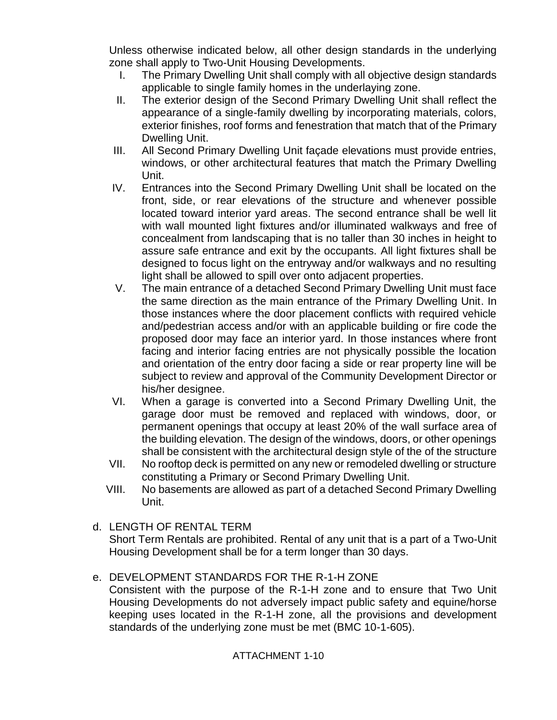Unless otherwise indicated below, all other design standards in the underlying zone shall apply to Two-Unit Housing Developments.

- I. The Primary Dwelling Unit shall comply with all objective design standards applicable to single family homes in the underlaying zone.
- II. The exterior design of the Second Primary Dwelling Unit shall reflect the appearance of a single-family dwelling by incorporating materials, colors, exterior finishes, roof forms and fenestration that match that of the Primary Dwelling Unit.
- III. All Second Primary Dwelling Unit façade elevations must provide entries, windows, or other architectural features that match the Primary Dwelling Unit.
- IV. Entrances into the Second Primary Dwelling Unit shall be located on the front, side, or rear elevations of the structure and whenever possible located toward interior yard areas. The second entrance shall be well lit with wall mounted light fixtures and/or illuminated walkways and free of concealment from landscaping that is no taller than 30 inches in height to assure safe entrance and exit by the occupants. All light fixtures shall be designed to focus light on the entryway and/or walkways and no resulting light shall be allowed to spill over onto adjacent properties.
- V. The main entrance of a detached Second Primary Dwelling Unit must face the same direction as the main entrance of the Primary Dwelling Unit. In those instances where the door placement conflicts with required vehicle and/pedestrian access and/or with an applicable building or fire code the proposed door may face an interior yard. In those instances where front facing and interior facing entries are not physically possible the location and orientation of the entry door facing a side or rear property line will be subject to review and approval of the Community Development Director or his/her designee.
- VI. When a garage is converted into a Second Primary Dwelling Unit, the garage door must be removed and replaced with windows, door, or permanent openings that occupy at least 20% of the wall surface area of the building elevation. The design of the windows, doors, or other openings shall be consistent with the architectural design style of the of the structure
- VII. No rooftop deck is permitted on any new or remodeled dwelling or structure constituting a Primary or Second Primary Dwelling Unit.
- VIII. No basements are allowed as part of a detached Second Primary Dwelling Unit.

### d. LENGTH OF RENTAL TERM

Short Term Rentals are prohibited. Rental of any unit that is a part of a Two-Unit Housing Development shall be for a term longer than 30 days.

### e. DEVELOPMENT STANDARDS FOR THE R-1-H ZONE

Consistent with the purpose of the R-1-H zone and to ensure that Two Unit Housing Developments do not adversely impact public safety and equine/horse keeping uses located in the R-1-H zone, all the provisions and development standards of the underlying zone must be met (BMC 10-1-605).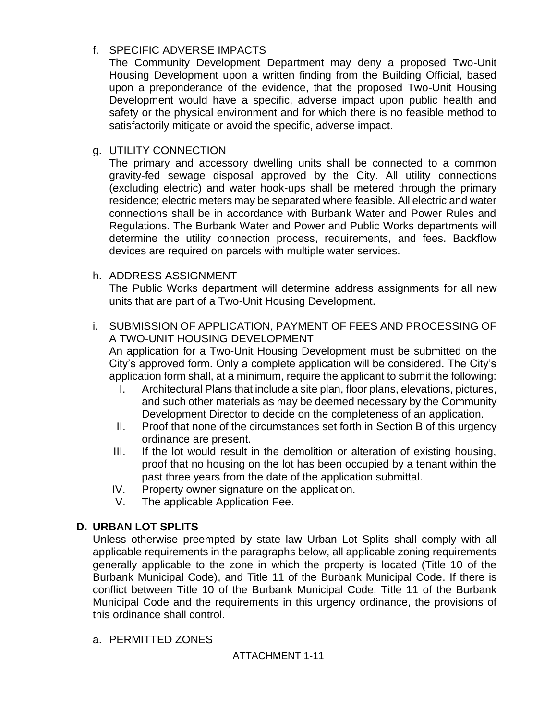### f. SPECIFIC ADVERSE IMPACTS

The Community Development Department may deny a proposed Two-Unit Housing Development upon a written finding from the Building Official, based upon a preponderance of the evidence, that the proposed Two-Unit Housing Development would have a specific, adverse impact upon public health and safety or the physical environment and for which there is no feasible method to satisfactorily mitigate or avoid the specific, adverse impact.

#### g. UTILITY CONNECTION

The primary and accessory dwelling units shall be connected to a common gravity-fed sewage disposal approved by the City. All utility connections (excluding electric) and water hook-ups shall be metered through the primary residence; electric meters may be separated where feasible. All electric and water connections shall be in accordance with Burbank Water and Power Rules and Regulations. The Burbank Water and Power and Public Works departments will determine the utility connection process, requirements, and fees. Backflow devices are required on parcels with multiple water services.

#### h. ADDRESS ASSIGNMENT

The Public Works department will determine address assignments for all new units that are part of a Two-Unit Housing Development.

i. SUBMISSION OF APPLICATION, PAYMENT OF FEES AND PROCESSING OF A TWO-UNIT HOUSING DEVELOPMENT

An application for a Two-Unit Housing Development must be submitted on the City's approved form. Only a complete application will be considered. The City's application form shall, at a minimum, require the applicant to submit the following:

- I. Architectural Plans that include a site plan, floor plans, elevations, pictures, and such other materials as may be deemed necessary by the Community Development Director to decide on the completeness of an application.
- II. Proof that none of the circumstances set forth in Section B of this urgency ordinance are present.
- III. If the lot would result in the demolition or alteration of existing housing, proof that no housing on the lot has been occupied by a tenant within the past three years from the date of the application submittal.
- IV. Property owner signature on the application.
- V. The applicable Application Fee.

### **D. URBAN LOT SPLITS**

Unless otherwise preempted by state law Urban Lot Splits shall comply with all applicable requirements in the paragraphs below, all applicable zoning requirements generally applicable to the zone in which the property is located (Title 10 of the Burbank Municipal Code), and Title 11 of the Burbank Municipal Code. If there is conflict between Title 10 of the Burbank Municipal Code, Title 11 of the Burbank Municipal Code and the requirements in this urgency ordinance, the provisions of this ordinance shall control.

a. PERMITTED ZONES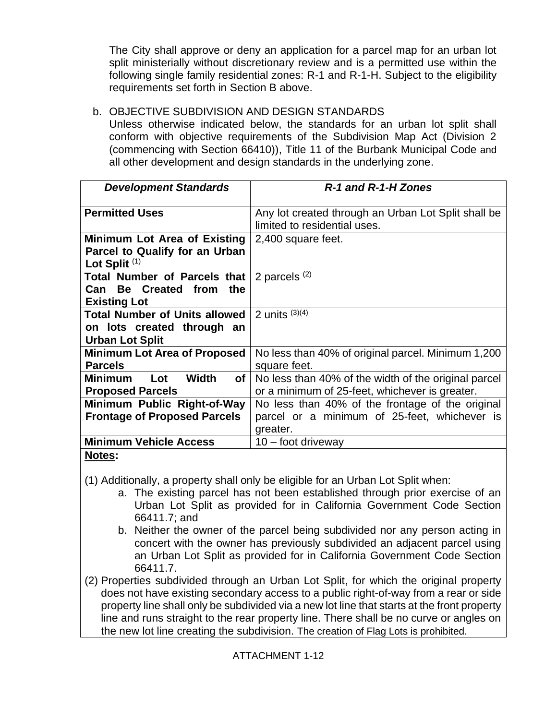The City shall approve or deny an application for a parcel map for an urban lot split ministerially without discretionary review and is a permitted use within the following single family residential zones: R-1 and R-1-H. Subject to the eligibility requirements set forth in Section B above.

### b. OBJECTIVE SUBDIVISION AND DESIGN STANDARDS

Unless otherwise indicated below, the standards for an urban lot split shall conform with objective requirements of the Subdivision Map Act (Division 2 (commencing with Section 66410)), Title 11 of the Burbank Municipal Code and all other development and design standards in the underlying zone.

| <b>Development Standards</b>                                                                 | R-1 and R-1-H Zones                                                                                    |
|----------------------------------------------------------------------------------------------|--------------------------------------------------------------------------------------------------------|
| <b>Permitted Uses</b>                                                                        | Any lot created through an Urban Lot Split shall be<br>limited to residential uses.                    |
| Minimum Lot Area of Existing<br>Parcel to Qualify for an Urban<br>Lot Split <sup>(1)</sup>   | 2,400 square feet.                                                                                     |
| Total Number of Parcels that<br>Can Be Created from<br>the<br><b>Existing Lot</b>            | 2 parcels $(2)$                                                                                        |
| <b>Total Number of Units allowed</b><br>on lots created through an<br><b>Urban Lot Split</b> | 2 units $(3)(4)$                                                                                       |
| <b>Minimum Lot Area of Proposed</b><br><b>Parcels</b>                                        | No less than 40% of original parcel. Minimum 1,200<br>square feet.                                     |
| <b>Width</b><br><b>Minimum</b><br>of<br>Lot<br><b>Proposed Parcels</b>                       | No less than 40% of the width of the original parcel<br>or a minimum of 25-feet, whichever is greater. |
| Minimum Public Right-of-Way                                                                  | No less than 40% of the frontage of the original                                                       |
| <b>Frontage of Proposed Parcels</b>                                                          | parcel or a minimum of 25-feet, whichever is<br>greater.                                               |
| <b>Minimum Vehicle Access</b>                                                                | $10 -$ foot driveway                                                                                   |
| Notes:                                                                                       |                                                                                                        |

(1) Additionally, a property shall only be eligible for an Urban Lot Split when:

- a. The existing parcel has not been established through prior exercise of an Urban Lot Split as provided for in California Government Code Section 66411.7; and
- b. Neither the owner of the parcel being subdivided nor any person acting in concert with the owner has previously subdivided an adjacent parcel using an Urban Lot Split as provided for in California Government Code Section 66411.7.
- (2) Properties subdivided through an Urban Lot Split, for which the original property does not have existing secondary access to a public right-of-way from a rear or side property line shall only be subdivided via a new lot line that starts at the front property line and runs straight to the rear property line. There shall be no curve or angles on the new lot line creating the subdivision. The creation of Flag Lots is prohibited.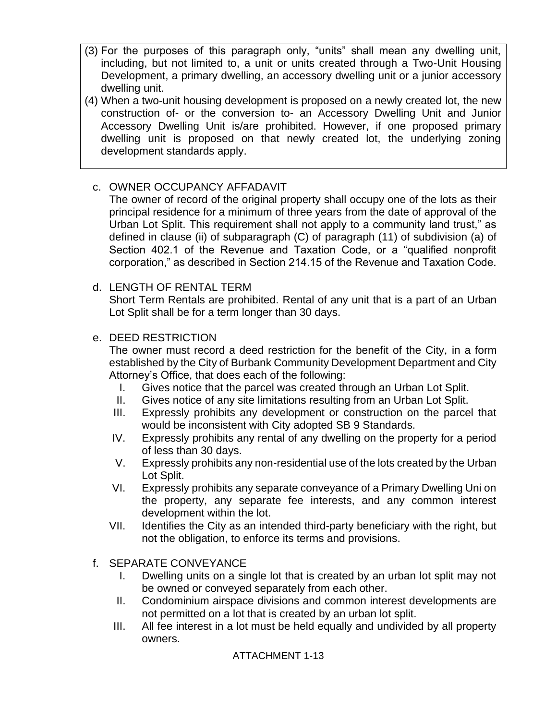- (3) For the purposes of this paragraph only, "units" shall mean any dwelling unit, including, but not limited to, a unit or units created through a Two-Unit Housing Development, a primary dwelling, an accessory dwelling unit or a junior accessory dwelling unit.
- (4) When a two-unit housing development is proposed on a newly created lot, the new construction of- or the conversion to- an Accessory Dwelling Unit and Junior Accessory Dwelling Unit is/are prohibited. However, if one proposed primary dwelling unit is proposed on that newly created lot, the underlying zoning development standards apply.

## c. OWNER OCCUPANCY AFFADAVIT

The owner of record of the original property shall occupy one of the lots as their principal residence for a minimum of three years from the date of approval of the Urban Lot Split. This requirement shall not apply to a community land trust," as defined in clause (ii) of subparagraph (C) of paragraph (11) of subdivision (a) of Section 402.1 of the Revenue and Taxation Code, or a "qualified nonprofit corporation," as described in Section 214.15 of the Revenue and Taxation Code.

### d. LENGTH OF RENTAL TERM

Short Term Rentals are prohibited. Rental of any unit that is a part of an Urban Lot Split shall be for a term longer than 30 days.

### e. DEED RESTRICTION

The owner must record a deed restriction for the benefit of the City, in a form established by the City of Burbank Community Development Department and City Attorney's Office, that does each of the following:

- I. Gives notice that the parcel was created through an Urban Lot Split.
- II. Gives notice of any site limitations resulting from an Urban Lot Split.
- III. Expressly prohibits any development or construction on the parcel that would be inconsistent with City adopted SB 9 Standards.
- IV. Expressly prohibits any rental of any dwelling on the property for a period of less than 30 days.
- V. Expressly prohibits any non-residential use of the lots created by the Urban Lot Split.
- VI. Expressly prohibits any separate conveyance of a Primary Dwelling Uni on the property, any separate fee interests, and any common interest development within the lot.
- VII. Identifies the City as an intended third-party beneficiary with the right, but not the obligation, to enforce its terms and provisions.

### f. SEPARATE CONVEYANCE

- I. Dwelling units on a single lot that is created by an urban lot split may not be owned or conveyed separately from each other.
- II. Condominium airspace divisions and common interest developments are not permitted on a lot that is created by an urban lot split.
- III. All fee interest in a lot must be held equally and undivided by all property owners.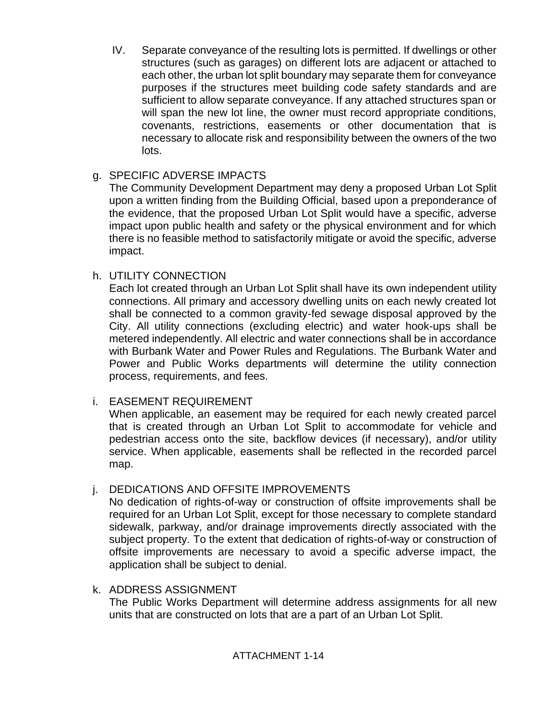IV. Separate conveyance of the resulting lots is permitted. If dwellings or other structures (such as garages) on different lots are adjacent or attached to each other, the urban lot split boundary may separate them for conveyance purposes if the structures meet building code safety standards and are sufficient to allow separate conveyance. If any attached structures span or will span the new lot line, the owner must record appropriate conditions, covenants, restrictions, easements or other documentation that is necessary to allocate risk and responsibility between the owners of the two lots.

### g. SPECIFIC ADVERSE IMPACTS

The Community Development Department may deny a proposed Urban Lot Split upon a written finding from the Building Official, based upon a preponderance of the evidence, that the proposed Urban Lot Split would have a specific, adverse impact upon public health and safety or the physical environment and for which there is no feasible method to satisfactorily mitigate or avoid the specific, adverse impact.

## h. UTILITY CONNECTION

Each lot created through an Urban Lot Split shall have its own independent utility connections. All primary and accessory dwelling units on each newly created lot shall be connected to a common gravity-fed sewage disposal approved by the City. All utility connections (excluding electric) and water hook-ups shall be metered independently. All electric and water connections shall be in accordance with Burbank Water and Power Rules and Regulations. The Burbank Water and Power and Public Works departments will determine the utility connection process, requirements, and fees.

## i. EASEMENT REQUIREMENT

When applicable, an easement may be required for each newly created parcel that is created through an Urban Lot Split to accommodate for vehicle and pedestrian access onto the site, backflow devices (if necessary), and/or utility service. When applicable, easements shall be reflected in the recorded parcel map.

## j. DEDICATIONS AND OFFSITE IMPROVEMENTS

No dedication of rights-of-way or construction of offsite improvements shall be required for an Urban Lot Split, except for those necessary to complete standard sidewalk, parkway, and/or drainage improvements directly associated with the subject property. To the extent that dedication of rights-of-way or construction of offsite improvements are necessary to avoid a specific adverse impact, the application shall be subject to denial.

### k. ADDRESS ASSIGNMENT

The Public Works Department will determine address assignments for all new units that are constructed on lots that are a part of an Urban Lot Split.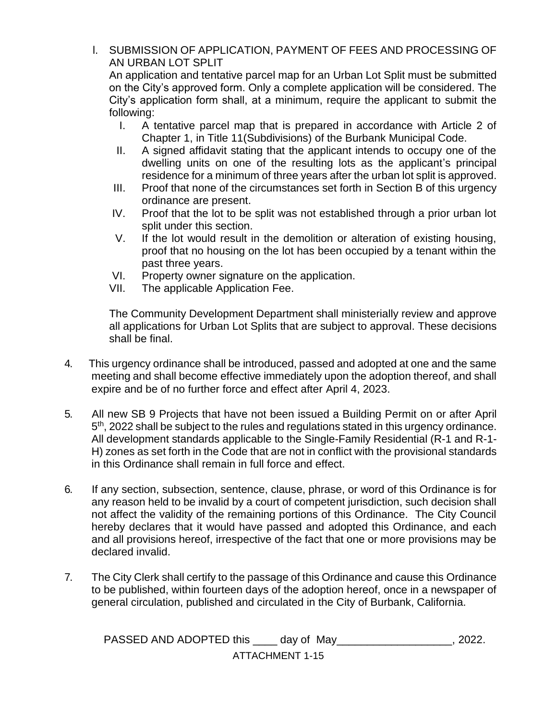### l. SUBMISSION OF APPLICATION, PAYMENT OF FEES AND PROCESSING OF AN URBAN LOT SPLIT

An application and tentative parcel map for an Urban Lot Split must be submitted on the City's approved form. Only a complete application will be considered. The City's application form shall, at a minimum, require the applicant to submit the following:

- I. A tentative parcel map that is prepared in accordance with Article 2 of Chapter 1, in Title 11(Subdivisions) of the Burbank Municipal Code.
- II. A signed affidavit stating that the applicant intends to occupy one of the dwelling units on one of the resulting lots as the applicant's principal residence for a minimum of three years after the urban lot split is approved.
- III. Proof that none of the circumstances set forth in Section B of this urgency ordinance are present.
- IV. Proof that the lot to be split was not established through a prior urban lot split under this section.
- V. If the lot would result in the demolition or alteration of existing housing, proof that no housing on the lot has been occupied by a tenant within the past three years.
- VI. Property owner signature on the application.
- VII. The applicable Application Fee.

The Community Development Department shall ministerially review and approve all applications for Urban Lot Splits that are subject to approval. These decisions shall be final.

- 4. This urgency ordinance shall be introduced, passed and adopted at one and the same meeting and shall become effective immediately upon the adoption thereof, and shall expire and be of no further force and effect after April 4, 2023.
- 5. All new SB 9 Projects that have not been issued a Building Permit on or after April 5<sup>th</sup>, 2022 shall be subject to the rules and regulations stated in this urgency ordinance. All development standards applicable to the Single-Family Residential (R-1 and R-1- H) zones as set forth in the Code that are not in conflict with the provisional standards in this Ordinance shall remain in full force and effect.
- 6. If any section, subsection, sentence, clause, phrase, or word of this Ordinance is for any reason held to be invalid by a court of competent jurisdiction, such decision shall not affect the validity of the remaining portions of this Ordinance. The City Council hereby declares that it would have passed and adopted this Ordinance, and each and all provisions hereof, irrespective of the fact that one or more provisions may be declared invalid.
- 7. The City Clerk shall certify to the passage of this Ordinance and cause this Ordinance to be published, within fourteen days of the adoption hereof, once in a newspaper of general circulation, published and circulated in the City of Burbank, California.

ATTACHMENT 1-15 PASSED AND ADOPTED this \_\_\_\_\_ day of May\_\_\_\_\_\_\_\_\_\_\_\_\_\_\_\_\_\_\_\_, 2022.